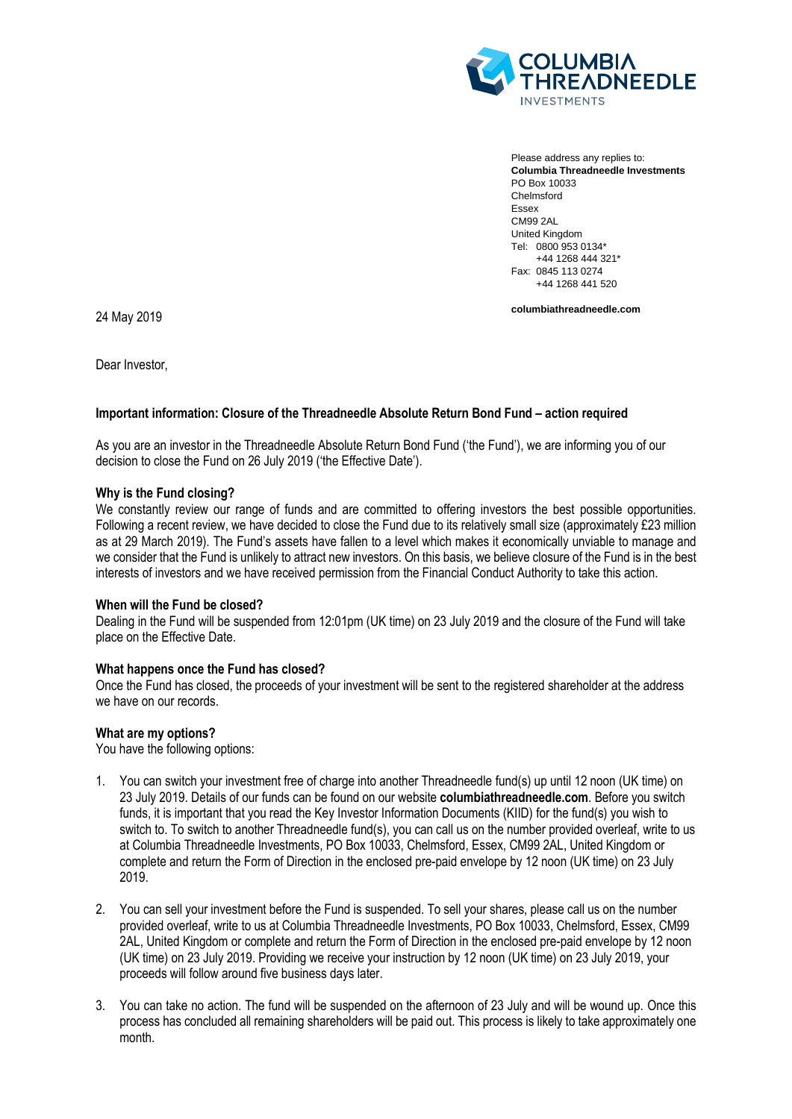

Please address any replies to: **Columbia Threadneedle Investments** PO Box 10033 Chelmsford Essex CM99 2AL United Kingdom Tel: 0800 953 0134\* +44 1268 444 321\* Fax: 0845 113 0274 +44 1268 441 520

**columbiathreadneedle.com**

24 May 2019

Dear Investor,

## **Important information: Closure of the Threadneedle Absolute Return Bond Fund – action required**

As you are an investor in the Threadneedle Absolute Return Bond Fund ('the Fund'), we are informing you of our decision to close the Fund on 26 July 2019 ('the Effective Date').

### **Why is the Fund closing?**

We constantly review our range of funds and are committed to offering investors the best possible opportunities. Following a recent review, we have decided to close the Fund due to its relatively small size (approximately £23 million as at 29 March 2019). The Fund's assets have fallen to a level which makes it economically unviable to manage and we consider that the Fund is unlikely to attract new investors. On this basis, we believe closure of the Fund is in the best interests of investors and we have received permission from the Financial Conduct Authority to take this action.

## **When will the Fund be closed?**

Dealing in the Fund will be suspended from 12:01pm (UK time) on 23 July 2019 and the closure of the Fund will take place on the Effective Date.

## **What happens once the Fund has closed?**

Once the Fund has closed, the proceeds of your investment will be sent to the registered shareholder at the address we have on our records.

## **What are my options?**

You have the following options:

- 1. You can switch your investment free of charge into another Threadneedle fund(s) up until 12 noon (UK time) on 23 July 2019. Details of our funds can be found on our website **columbiathreadneedle.com**. Before you switch funds, it is important that you read the Key Investor Information Documents (KIID) for the fund(s) you wish to switch to. To switch to another Threadneedle fund(s), you can call us on the number provided overleaf, write to us at Columbia Threadneedle Investments, PO Box 10033, Chelmsford, Essex, CM99 2AL, United Kingdom or complete and return the Form of Direction in the enclosed pre-paid envelope by 12 noon (UK time) on 23 July 2019.
- 2. You can sell your investment before the Fund is suspended. To sell your shares, please call us on the number provided overleaf, write to us at Columbia Threadneedle Investments, PO Box 10033, Chelmsford, Essex, CM99 2AL, United Kingdom or complete and return the Form of Direction in the enclosed pre-paid envelope by 12 noon (UK time) on 23 July 2019. Providing we receive your instruction by 12 noon (UK time) on 23 July 2019, your proceeds will follow around five business days later.
- 3. You can take no action. The fund will be suspended on the afternoon of 23 July and will be wound up. Once this process has concluded all remaining shareholders will be paid out. This process is likely to take approximately one month.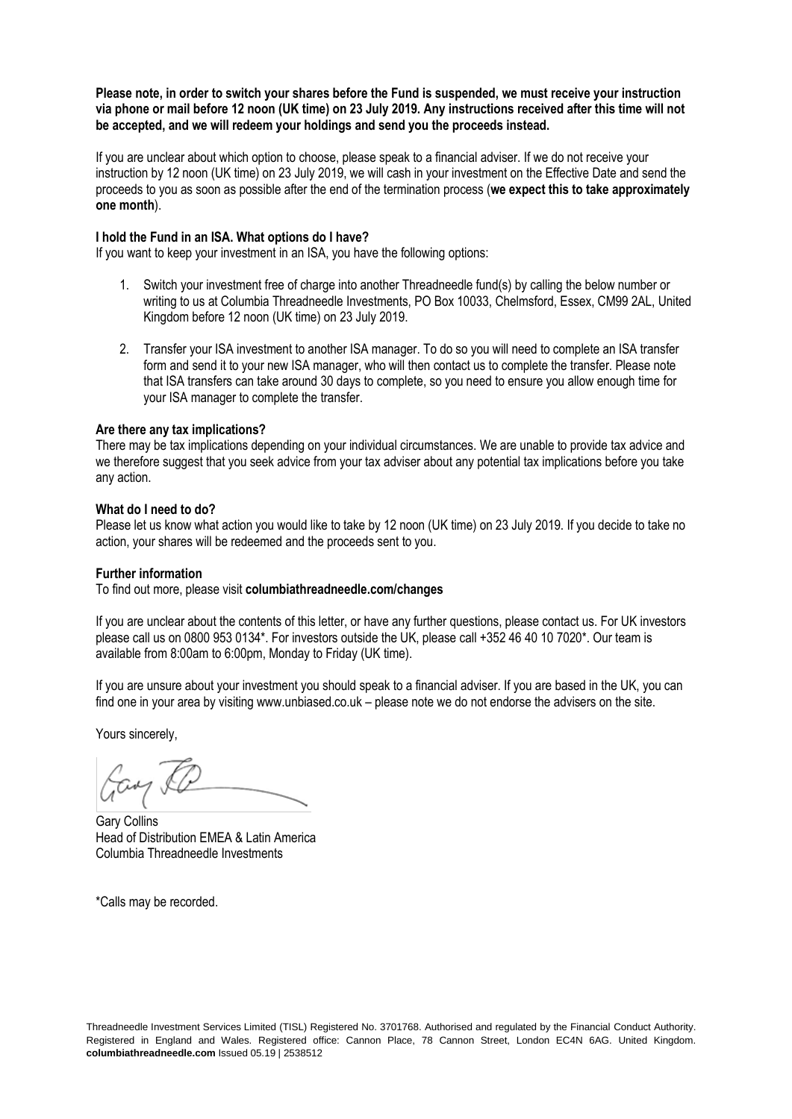**Please note, in order to switch your shares before the Fund is suspended, we must receive your instruction via phone or mail before 12 noon (UK time) on 23 July 2019. Any instructions received after this time will not be accepted, and we will redeem your holdings and send you the proceeds instead.** 

If you are unclear about which option to choose, please speak to a financial adviser. If we do not receive your instruction by 12 noon (UK time) on 23 July 2019, we will cash in your investment on the Effective Date and send the proceeds to you as soon as possible after the end of the termination process (**we expect this to take approximately one month**).

#### **I hold the Fund in an ISA. What options do I have?**

If you want to keep your investment in an ISA, you have the following options:

- 1. Switch your investment free of charge into another Threadneedle fund(s) by calling the below number or writing to us at Columbia Threadneedle Investments, PO Box 10033, Chelmsford, Essex, CM99 2AL, United Kingdom before 12 noon (UK time) on 23 July 2019.
- 2. Transfer your ISA investment to another ISA manager. To do so you will need to complete an ISA transfer form and send it to your new ISA manager, who will then contact us to complete the transfer. Please note that ISA transfers can take around 30 days to complete, so you need to ensure you allow enough time for your ISA manager to complete the transfer.

#### **Are there any tax implications?**

There may be tax implications depending on your individual circumstances. We are unable to provide tax advice and we therefore suggest that you seek advice from your tax adviser about any potential tax implications before you take any action.

#### **What do I need to do?**

Please let us know what action you would like to take by 12 noon (UK time) on 23 July 2019. If you decide to take no action, your shares will be redeemed and the proceeds sent to you.

#### **Further information**

To find out more, please visit **columbiathreadneedle.com/changes** 

If you are unclear about the contents of this letter, or have any further questions, please contact us. For UK investors please call us on 0800 953 0134\*. For investors outside the UK, please call +352 46 40 10 7020\*. Our team is available from 8:00am to 6:00pm, Monday to Friday (UK time).

If you are unsure about your investment you should speak to a financial adviser. If you are based in the UK, you can find one in your area by visiting www.unbiased.co.uk – please note we do not endorse the advisers on the site.

Yours sincerely,

Gay &

Gary Collins Head of Distribution EMEA & Latin America Columbia Threadneedle Investments

\*Calls may be recorded.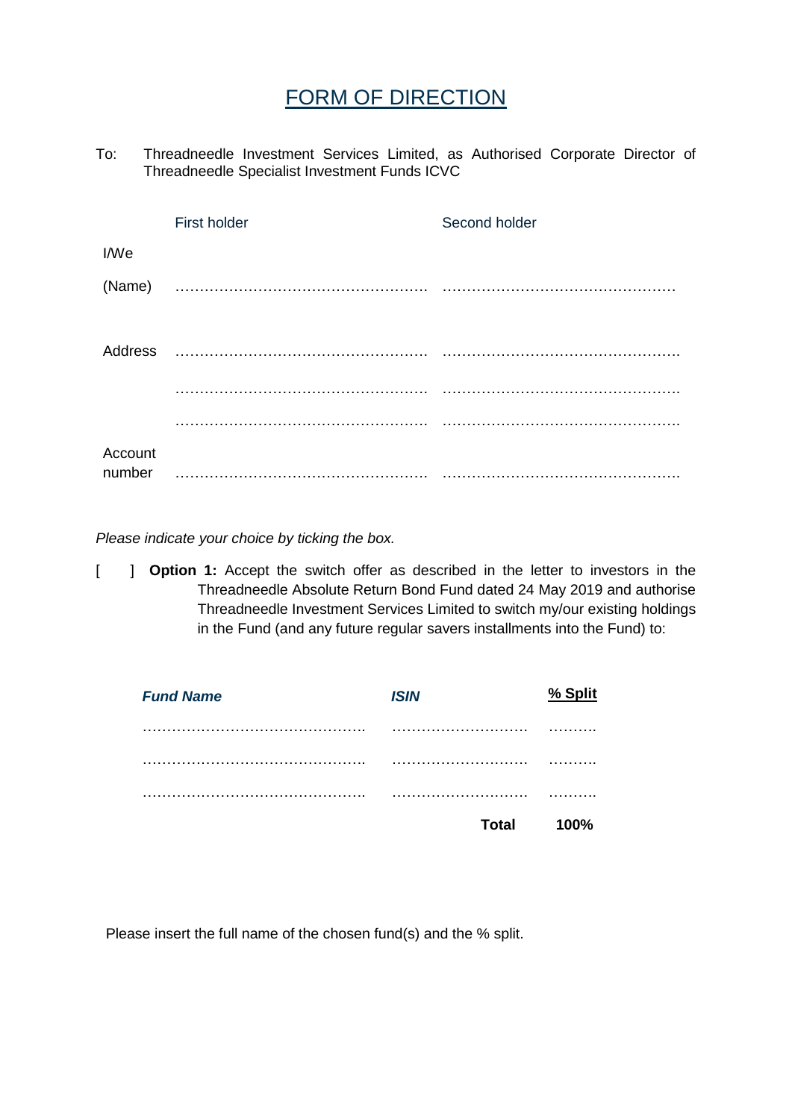# FORM OF DIRECTION

To: Threadneedle Investment Services Limited, as Authorised Corporate Director of Threadneedle Specialist Investment Funds ICVC

|                   | First holder | Second holder |
|-------------------|--------------|---------------|
| I/We              |              |               |
| (Name)            |              |               |
|                   |              |               |
|                   |              |               |
|                   |              |               |
| Account<br>number |              |               |

*Please indicate your choice by ticking the box.*

[ ] **Option 1:** Accept the switch offer as described in the letter to investors in the Threadneedle Absolute Return Bond Fund dated 24 May 2019 and authorise Threadneedle Investment Services Limited to switch my/our existing holdings in the Fund (and any future regular savers installments into the Fund) to:

| <b>Fund Name</b> | <b>ISIN</b>  | % Split |
|------------------|--------------|---------|
|                  |              | .       |
|                  |              | .       |
|                  |              | .       |
|                  | <b>Total</b> | 100%    |

Please insert the full name of the chosen fund(s) and the % split.